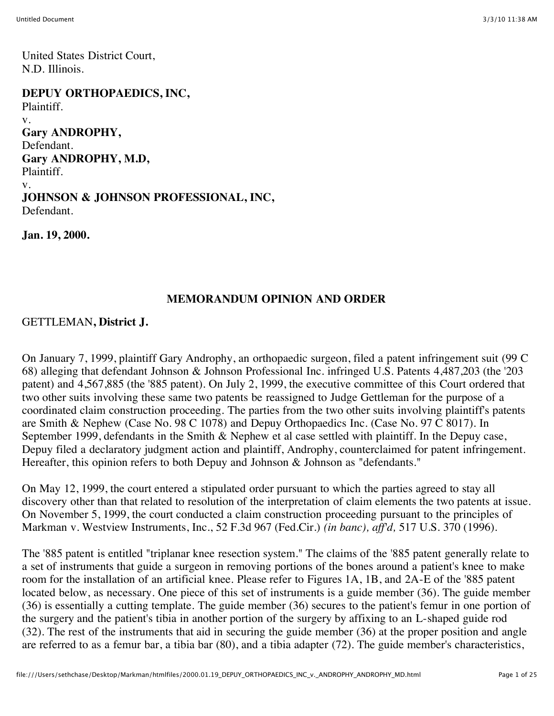United States District Court, N.D. Illinois.

**DEPUY ORTHOPAEDICS, INC,** Plaintiff. v. **Gary ANDROPHY,** Defendant. **Gary ANDROPHY, M.D,** Plaintiff. v. **JOHNSON & JOHNSON PROFESSIONAL, INC,** Defendant.

**Jan. 19, 2000.**

#### **MEMORANDUM OPINION AND ORDER**

GETTLEMAN**, District J.**

On January 7, 1999, plaintiff Gary Androphy, an orthopaedic surgeon, filed a patent infringement suit (99 C 68) alleging that defendant Johnson & Johnson Professional Inc. infringed U.S. Patents 4,487,203 (the '203 patent) and 4,567,885 (the '885 patent). On July 2, 1999, the executive committee of this Court ordered that two other suits involving these same two patents be reassigned to Judge Gettleman for the purpose of a coordinated claim construction proceeding. The parties from the two other suits involving plaintiff's patents are Smith & Nephew (Case No. 98 C 1078) and Depuy Orthopaedics Inc. (Case No. 97 C 8017). In September 1999, defendants in the Smith & Nephew et al case settled with plaintiff. In the Depuy case, Depuy filed a declaratory judgment action and plaintiff, Androphy, counterclaimed for patent infringement. Hereafter, this opinion refers to both Depuy and Johnson & Johnson as "defendants."

On May 12, 1999, the court entered a stipulated order pursuant to which the parties agreed to stay all discovery other than that related to resolution of the interpretation of claim elements the two patents at issue. On November 5, 1999, the court conducted a claim construction proceeding pursuant to the principles of Markman v. Westview Instruments, Inc., 52 F.3d 967 (Fed.Cir.) *(in banc), aff'd,* 517 U.S. 370 (1996).

The '885 patent is entitled "triplanar knee resection system." The claims of the '885 patent generally relate to a set of instruments that guide a surgeon in removing portions of the bones around a patient's knee to make room for the installation of an artificial knee. Please refer to Figures 1A, 1B, and 2A-E of the '885 patent located below, as necessary. One piece of this set of instruments is a guide member (36). The guide member (36) is essentially a cutting template. The guide member (36) secures to the patient's femur in one portion of the surgery and the patient's tibia in another portion of the surgery by affixing to an L-shaped guide rod (32). The rest of the instruments that aid in securing the guide member (36) at the proper position and angle are referred to as a femur bar, a tibia bar (80), and a tibia adapter (72). The guide member's characteristics,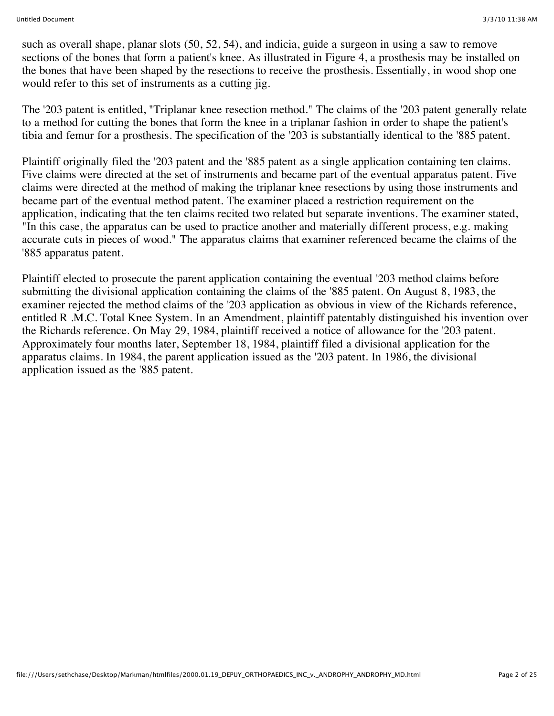such as overall shape, planar slots (50, 52, 54), and indicia, guide a surgeon in using a saw to remove sections of the bones that form a patient's knee. As illustrated in Figure 4, a prosthesis may be installed on the bones that have been shaped by the resections to receive the prosthesis. Essentially, in wood shop one would refer to this set of instruments as a cutting jig.

The '203 patent is entitled, "Triplanar knee resection method." The claims of the '203 patent generally relate to a method for cutting the bones that form the knee in a triplanar fashion in order to shape the patient's tibia and femur for a prosthesis. The specification of the '203 is substantially identical to the '885 patent.

Plaintiff originally filed the '203 patent and the '885 patent as a single application containing ten claims. Five claims were directed at the set of instruments and became part of the eventual apparatus patent. Five claims were directed at the method of making the triplanar knee resections by using those instruments and became part of the eventual method patent. The examiner placed a restriction requirement on the application, indicating that the ten claims recited two related but separate inventions. The examiner stated, "In this case, the apparatus can be used to practice another and materially different process, e.g. making accurate cuts in pieces of wood." The apparatus claims that examiner referenced became the claims of the '885 apparatus patent.

Plaintiff elected to prosecute the parent application containing the eventual '203 method claims before submitting the divisional application containing the claims of the '885 patent. On August 8, 1983, the examiner rejected the method claims of the '203 application as obvious in view of the Richards reference, entitled R .M.C. Total Knee System. In an Amendment, plaintiff patentably distinguished his invention over the Richards reference. On May 29, 1984, plaintiff received a notice of allowance for the '203 patent. Approximately four months later, September 18, 1984, plaintiff filed a divisional application for the apparatus claims. In 1984, the parent application issued as the '203 patent. In 1986, the divisional application issued as the '885 patent.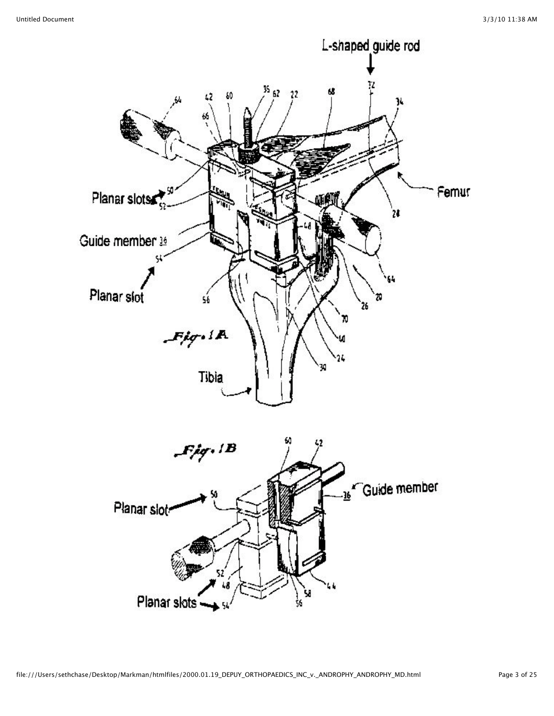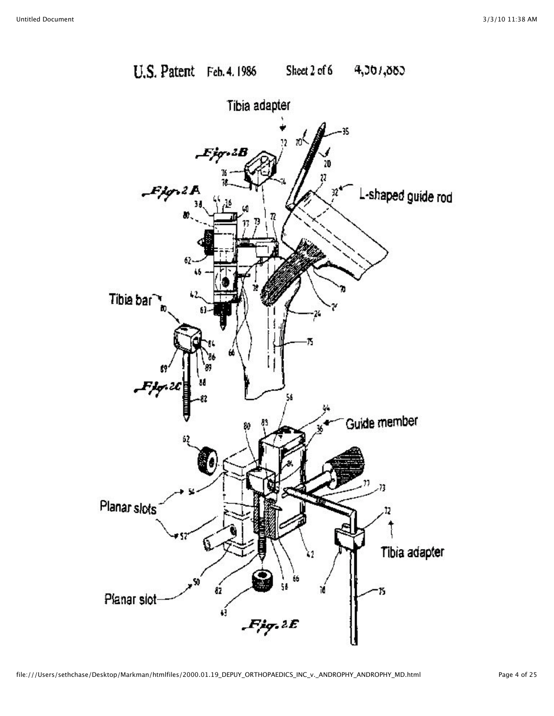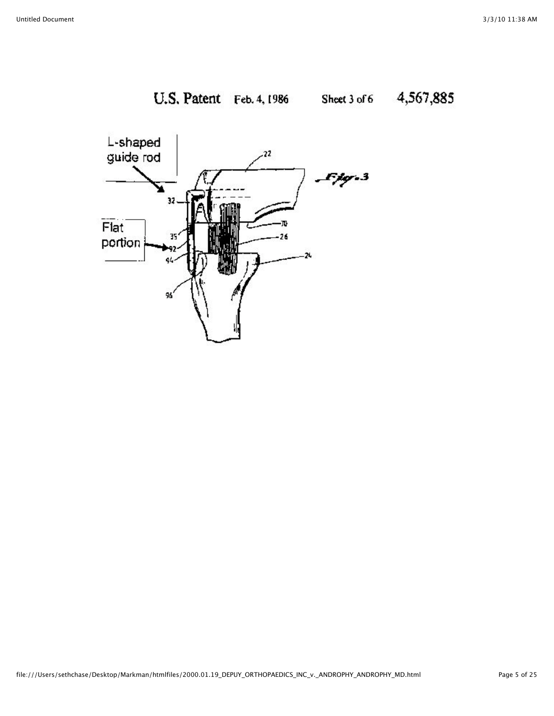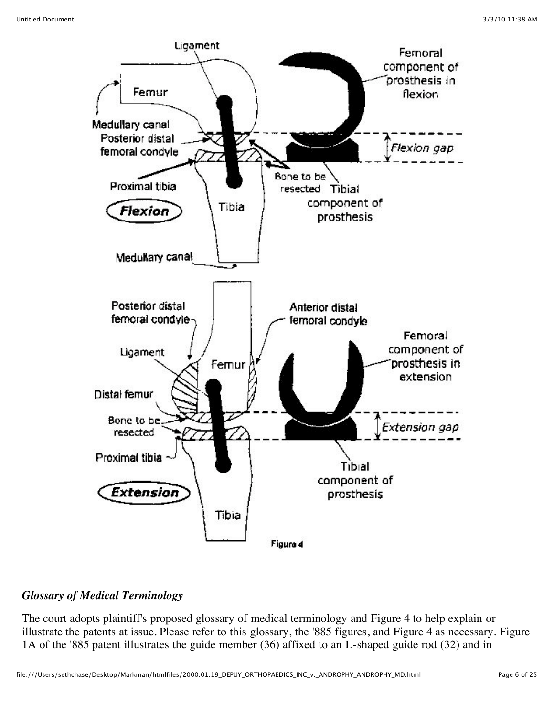

## *Glossary of Medical Terminology*

The court adopts plaintiff's proposed glossary of medical terminology and Figure 4 to help explain or illustrate the patents at issue. Please refer to this glossary, the '885 figures, and Figure 4 as necessary. Figure 1A of the '885 patent illustrates the guide member (36) affixed to an L-shaped guide rod (32) and in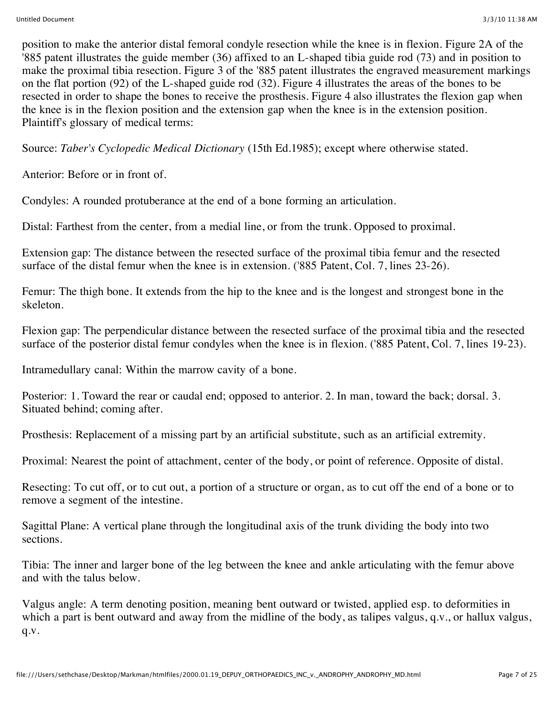position to make the anterior distal femoral condyle resection while the knee is in flexion. Figure 2A of the '885 patent illustrates the guide member (36) affixed to an L-shaped tibia guide rod (73) and in position to make the proximal tibia resection. Figure 3 of the '885 patent illustrates the engraved measurement markings on the flat portion (92) of the L-shaped guide rod (32). Figure 4 illustrates the areas of the bones to be resected in order to shape the bones to receive the prosthesis. Figure 4 also illustrates the flexion gap when the knee is in the flexion position and the extension gap when the knee is in the extension position. Plaintiff's glossary of medical terms:

Source: *Taber's Cyclopedic Medical Dictionary* (15th Ed.1985); except where otherwise stated.

Anterior: Before or in front of.

Condyles: A rounded protuberance at the end of a bone forming an articulation.

Distal: Farthest from the center, from a medial line, or from the trunk. Opposed to proximal.

Extension gap: The distance between the resected surface of the proximal tibia femur and the resected surface of the distal femur when the knee is in extension. ('885 Patent, Col. 7, lines 23-26).

Femur: The thigh bone. It extends from the hip to the knee and is the longest and strongest bone in the skeleton.

Flexion gap: The perpendicular distance between the resected surface of the proximal tibia and the resected surface of the posterior distal femur condyles when the knee is in flexion. ('885 Patent, Col. 7, lines 19-23).

Intramedullary canal: Within the marrow cavity of a bone.

Posterior: 1. Toward the rear or caudal end; opposed to anterior. 2. In man, toward the back; dorsal. 3. Situated behind; coming after.

Prosthesis: Replacement of a missing part by an artificial substitute, such as an artificial extremity.

Proximal: Nearest the point of attachment, center of the body, or point of reference. Opposite of distal.

Resecting: To cut off, or to cut out, a portion of a structure or organ, as to cut off the end of a bone or to remove a segment of the intestine.

Sagittal Plane: A vertical plane through the longitudinal axis of the trunk dividing the body into two sections.

Tibia: The inner and larger bone of the leg between the knee and ankle articulating with the femur above and with the talus below.

Valgus angle: A term denoting position, meaning bent outward or twisted, applied esp. to deformities in which a part is bent outward and away from the midline of the body, as talipes valgus, q.v., or hallux valgus, q.v.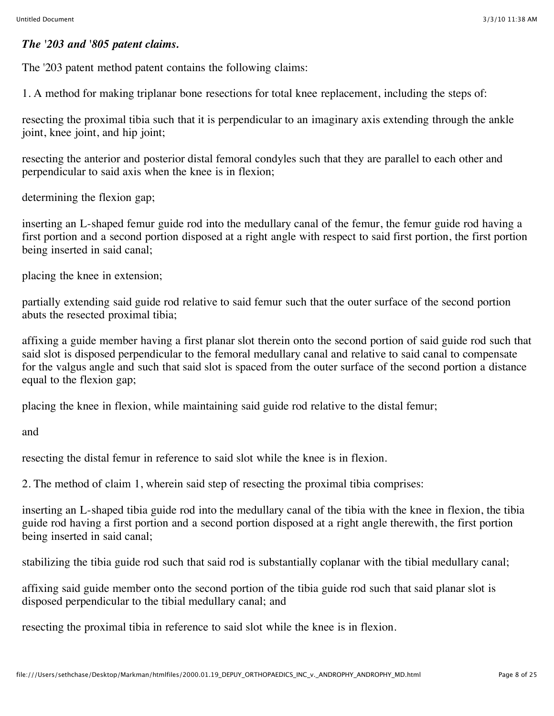#### *The '203 and '805 patent claims.*

The '203 patent method patent contains the following claims:

1. A method for making triplanar bone resections for total knee replacement, including the steps of:

resecting the proximal tibia such that it is perpendicular to an imaginary axis extending through the ankle joint, knee joint, and hip joint;

resecting the anterior and posterior distal femoral condyles such that they are parallel to each other and perpendicular to said axis when the knee is in flexion;

determining the flexion gap;

inserting an L-shaped femur guide rod into the medullary canal of the femur, the femur guide rod having a first portion and a second portion disposed at a right angle with respect to said first portion, the first portion being inserted in said canal;

placing the knee in extension;

partially extending said guide rod relative to said femur such that the outer surface of the second portion abuts the resected proximal tibia;

affixing a guide member having a first planar slot therein onto the second portion of said guide rod such that said slot is disposed perpendicular to the femoral medullary canal and relative to said canal to compensate for the valgus angle and such that said slot is spaced from the outer surface of the second portion a distance equal to the flexion gap;

placing the knee in flexion, while maintaining said guide rod relative to the distal femur;

and

resecting the distal femur in reference to said slot while the knee is in flexion.

2. The method of claim 1, wherein said step of resecting the proximal tibia comprises:

inserting an L-shaped tibia guide rod into the medullary canal of the tibia with the knee in flexion, the tibia guide rod having a first portion and a second portion disposed at a right angle therewith, the first portion being inserted in said canal;

stabilizing the tibia guide rod such that said rod is substantially coplanar with the tibial medullary canal;

affixing said guide member onto the second portion of the tibia guide rod such that said planar slot is disposed perpendicular to the tibial medullary canal; and

resecting the proximal tibia in reference to said slot while the knee is in flexion.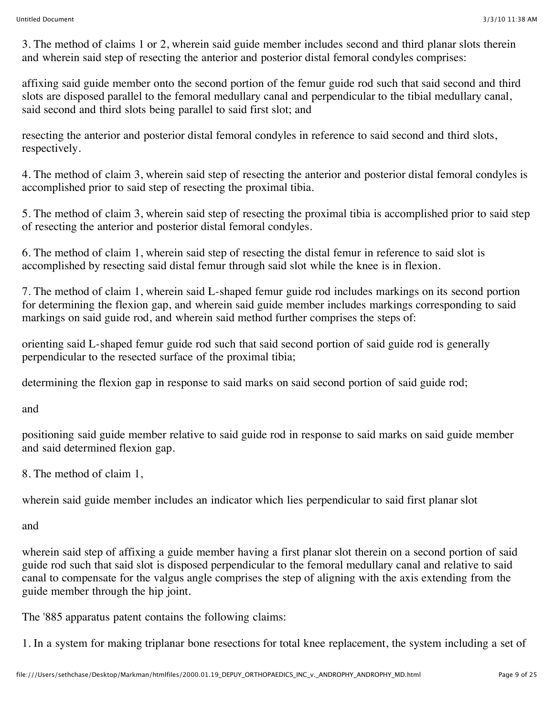3. The method of claims 1 or 2, wherein said guide member includes second and third planar slots therein and wherein said step of resecting the anterior and posterior distal femoral condyles comprises:

affixing said guide member onto the second portion of the femur guide rod such that said second and third slots are disposed parallel to the femoral medullary canal and perpendicular to the tibial medullary canal, said second and third slots being parallel to said first slot; and

resecting the anterior and posterior distal femoral condyles in reference to said second and third slots, respectively.

4. The method of claim 3, wherein said step of resecting the anterior and posterior distal femoral condyles is accomplished prior to said step of resecting the proximal tibia.

5. The method of claim 3, wherein said step of resecting the proximal tibia is accomplished prior to said step of resecting the anterior and posterior distal femoral condyles.

6. The method of claim 1, wherein said step of resecting the distal femur in reference to said slot is accomplished by resecting said distal femur through said slot while the knee is in flexion.

7. The method of claim 1, wherein said L-shaped femur guide rod includes markings on its second portion for determining the flexion gap, and wherein said guide member includes markings corresponding to said markings on said guide rod, and wherein said method further comprises the steps of:

orienting said L-shaped femur guide rod such that said second portion of said guide rod is generally perpendicular to the resected surface of the proximal tibia;

determining the flexion gap in response to said marks on said second portion of said guide rod;

and

positioning said guide member relative to said guide rod in response to said marks on said guide member and said determined flexion gap.

8. The method of claim 1,

wherein said guide member includes an indicator which lies perpendicular to said first planar slot

and

wherein said step of affixing a guide member having a first planar slot therein on a second portion of said guide rod such that said slot is disposed perpendicular to the femoral medullary canal and relative to said canal to compensate for the valgus angle comprises the step of aligning with the axis extending from the guide member through the hip joint.

The '885 apparatus patent contains the following claims:

1. In a system for making triplanar bone resections for total knee replacement, the system including a set of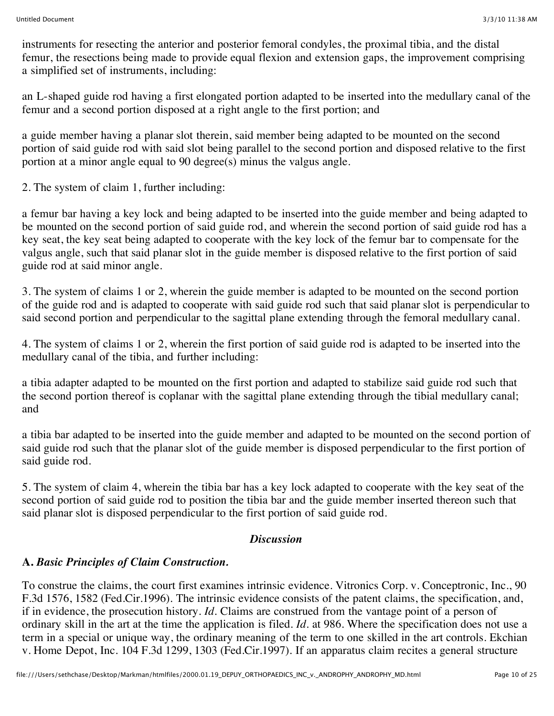instruments for resecting the anterior and posterior femoral condyles, the proximal tibia, and the distal femur, the resections being made to provide equal flexion and extension gaps, the improvement comprising a simplified set of instruments, including:

an L-shaped guide rod having a first elongated portion adapted to be inserted into the medullary canal of the femur and a second portion disposed at a right angle to the first portion; and

a guide member having a planar slot therein, said member being adapted to be mounted on the second portion of said guide rod with said slot being parallel to the second portion and disposed relative to the first portion at a minor angle equal to 90 degree(s) minus the valgus angle.

2. The system of claim 1, further including:

a femur bar having a key lock and being adapted to be inserted into the guide member and being adapted to be mounted on the second portion of said guide rod, and wherein the second portion of said guide rod has a key seat, the key seat being adapted to cooperate with the key lock of the femur bar to compensate for the valgus angle, such that said planar slot in the guide member is disposed relative to the first portion of said guide rod at said minor angle.

3. The system of claims 1 or 2, wherein the guide member is adapted to be mounted on the second portion of the guide rod and is adapted to cooperate with said guide rod such that said planar slot is perpendicular to said second portion and perpendicular to the sagittal plane extending through the femoral medullary canal.

4. The system of claims 1 or 2, wherein the first portion of said guide rod is adapted to be inserted into the medullary canal of the tibia, and further including:

a tibia adapter adapted to be mounted on the first portion and adapted to stabilize said guide rod such that the second portion thereof is coplanar with the sagittal plane extending through the tibial medullary canal; and

a tibia bar adapted to be inserted into the guide member and adapted to be mounted on the second portion of said guide rod such that the planar slot of the guide member is disposed perpendicular to the first portion of said guide rod.

5. The system of claim 4, wherein the tibia bar has a key lock adapted to cooperate with the key seat of the second portion of said guide rod to position the tibia bar and the guide member inserted thereon such that said planar slot is disposed perpendicular to the first portion of said guide rod.

## *Discussion*

# **A.** *Basic Principles of Claim Construction.*

To construe the claims, the court first examines intrinsic evidence. Vitronics Corp. v. Conceptronic, Inc., 90 F.3d 1576, 1582 (Fed.Cir.1996). The intrinsic evidence consists of the patent claims, the specification, and, if in evidence, the prosecution history. *Id.* Claims are construed from the vantage point of a person of ordinary skill in the art at the time the application is filed. *Id.* at 986. Where the specification does not use a term in a special or unique way, the ordinary meaning of the term to one skilled in the art controls. Ekchian v. Home Depot, Inc. 104 F.3d 1299, 1303 (Fed.Cir.1997). If an apparatus claim recites a general structure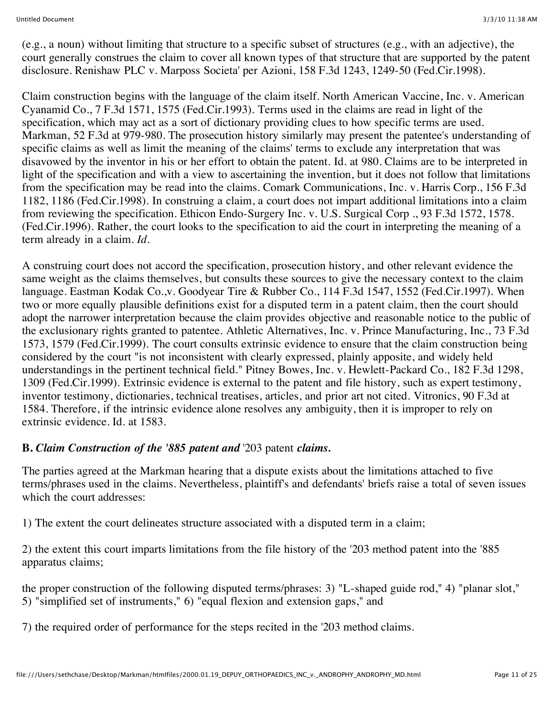(e.g., a noun) without limiting that structure to a specific subset of structures (e.g., with an adjective), the court generally construes the claim to cover all known types of that structure that are supported by the patent disclosure. Renishaw PLC v. Marposs Societa' per Azioni, 158 F.3d 1243, 1249-50 (Fed.Cir.1998).

Claim construction begins with the language of the claim itself. North American Vaccine, Inc. v. American Cyanamid Co., 7 F.3d 1571, 1575 (Fed.Cir.1993). Terms used in the claims are read in light of the specification, which may act as a sort of dictionary providing clues to how specific terms are used. Markman, 52 F.3d at 979-980. The prosecution history similarly may present the patentee's understanding of specific claims as well as limit the meaning of the claims' terms to exclude any interpretation that was disavowed by the inventor in his or her effort to obtain the patent. Id. at 980. Claims are to be interpreted in light of the specification and with a view to ascertaining the invention, but it does not follow that limitations from the specification may be read into the claims. Comark Communications, Inc. v. Harris Corp., 156 F.3d 1182, 1186 (Fed.Cir.1998). In construing a claim, a court does not impart additional limitations into a claim from reviewing the specification. Ethicon Endo-Surgery Inc. v. U.S. Surgical Corp ., 93 F.3d 1572, 1578. (Fed.Cir.1996). Rather, the court looks to the specification to aid the court in interpreting the meaning of a term already in a claim. *Id.*

A construing court does not accord the specification, prosecution history, and other relevant evidence the same weight as the claims themselves, but consults these sources to give the necessary context to the claim language. Eastman Kodak Co.,v. Goodyear Tire & Rubber Co., 114 F.3d 1547, 1552 (Fed.Cir.1997). When two or more equally plausible definitions exist for a disputed term in a patent claim, then the court should adopt the narrower interpretation because the claim provides objective and reasonable notice to the public of the exclusionary rights granted to patentee. Athletic Alternatives, Inc. v. Prince Manufacturing, Inc., 73 F.3d 1573, 1579 (Fed.Cir.1999). The court consults extrinsic evidence to ensure that the claim construction being considered by the court "is not inconsistent with clearly expressed, plainly apposite, and widely held understandings in the pertinent technical field." Pitney Bowes, Inc. v. Hewlett-Packard Co., 182 F.3d 1298, 1309 (Fed.Cir.1999). Extrinsic evidence is external to the patent and file history, such as expert testimony, inventor testimony, dictionaries, technical treatises, articles, and prior art not cited. Vitronics, 90 F.3d at 1584. Therefore, if the intrinsic evidence alone resolves any ambiguity, then it is improper to rely on extrinsic evidence. Id. at 1583.

## **B.** *Claim Construction of the '885 patent and* '203 patent *claims.*

The parties agreed at the Markman hearing that a dispute exists about the limitations attached to five terms/phrases used in the claims. Nevertheless, plaintiff's and defendants' briefs raise a total of seven issues which the court addresses:

1) The extent the court delineates structure associated with a disputed term in a claim;

2) the extent this court imparts limitations from the file history of the '203 method patent into the '885 apparatus claims;

the proper construction of the following disputed terms/phrases: 3) "L-shaped guide rod," 4) "planar slot," 5) "simplified set of instruments," 6) "equal flexion and extension gaps," and

7) the required order of performance for the steps recited in the '203 method claims.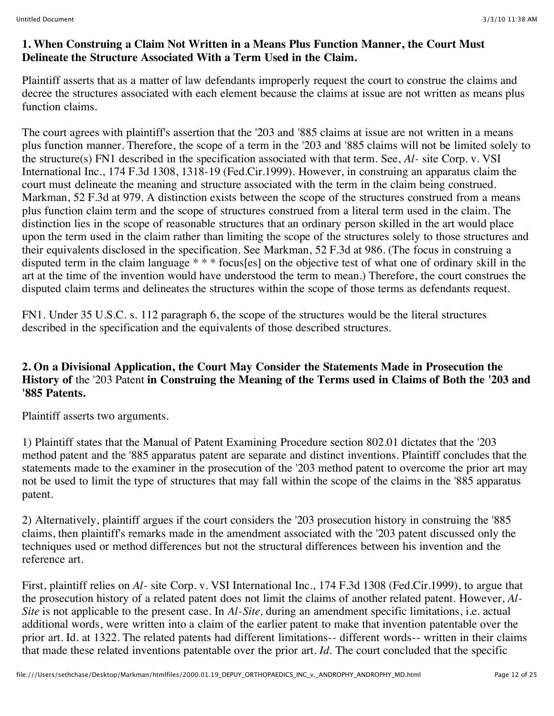#### **1. When Construing a Claim Not Written in a Means Plus Function Manner, the Court Must Delineate the Structure Associated With a Term Used in the Claim.**

Plaintiff asserts that as a matter of law defendants improperly request the court to construe the claims and decree the structures associated with each element because the claims at issue are not written as means plus function claims.

The court agrees with plaintiff's assertion that the '203 and '885 claims at issue are not written in a means plus function manner. Therefore, the scope of a term in the '203 and '885 claims will not be limited solely to the structure(s) FN1 described in the specification associated with that term. See, *Al-* site Corp. v. VSI International Inc., 174 F.3d 1308, 1318-19 (Fed.Cir.1999). However, in construing an apparatus claim the court must delineate the meaning and structure associated with the term in the claim being construed. Markman, 52 F.3d at 979. A distinction exists between the scope of the structures construed from a means plus function claim term and the scope of structures construed from a literal term used in the claim. The distinction lies in the scope of reasonable structures that an ordinary person skilled in the art would place upon the term used in the claim rather than limiting the scope of the structures solely to those structures and their equivalents disclosed in the specification. See Markman, 52 F.3d at 986. (The focus in construing a disputed term in the claim language \* \* \* focus[es] on the objective test of what one of ordinary skill in the art at the time of the invention would have understood the term to mean.) Therefore, the court construes the disputed claim terms and delineates the structures within the scope of those terms as defendants request.

FN1. Under 35 U.S.C. s. 112 paragraph 6, the scope of the structures would be the literal structures described in the specification and the equivalents of those described structures.

### **2. On a Divisional Application, the Court May Consider the Statements Made in Prosecution the History of** the '203 Patent **in Construing the Meaning of the Terms used in Claims of Both the '203 and '885 Patents.**

Plaintiff asserts two arguments.

1) Plaintiff states that the Manual of Patent Examining Procedure section 802.01 dictates that the '203 method patent and the '885 apparatus patent are separate and distinct inventions. Plaintiff concludes that the statements made to the examiner in the prosecution of the '203 method patent to overcome the prior art may not be used to limit the type of structures that may fall within the scope of the claims in the '885 apparatus patent.

2) Alternatively, plaintiff argues if the court considers the '203 prosecution history in construing the '885 claims, then plaintiff's remarks made in the amendment associated with the '203 patent discussed only the techniques used or method differences but not the structural differences between his invention and the reference art.

First, plaintiff relies on *Al-* site Corp. v. VSI International Inc., 174 F.3d 1308 (Fed.Cir.1999), to argue that the prosecution history of a related patent does not limit the claims of another related patent. However, *Al-Site* is not applicable to the present case. In *Al-Site,* during an amendment specific limitations, i.e. actual additional words, were written into a claim of the earlier patent to make that invention patentable over the prior art. Id. at 1322. The related patents had different limitations-- different words-- written in their claims that made these related inventions patentable over the prior art. *Id.* The court concluded that the specific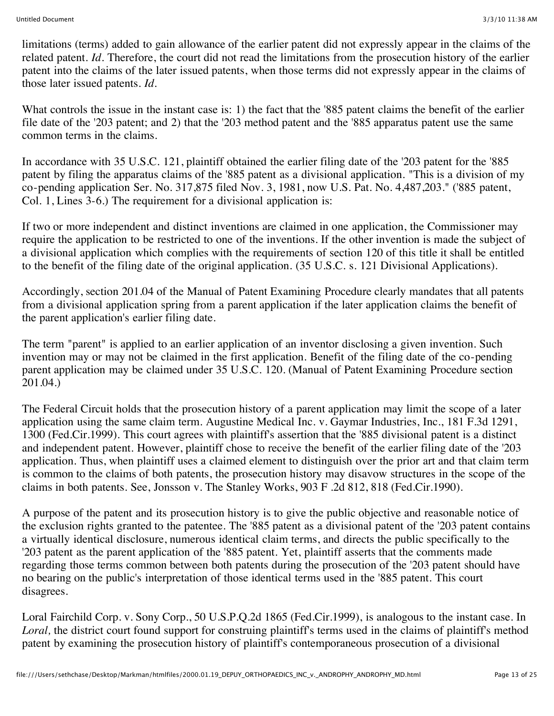limitations (terms) added to gain allowance of the earlier patent did not expressly appear in the claims of the related patent. *Id.* Therefore, the court did not read the limitations from the prosecution history of the earlier patent into the claims of the later issued patents, when those terms did not expressly appear in the claims of those later issued patents. *Id.*

What controls the issue in the instant case is: 1) the fact that the '885 patent claims the benefit of the earlier file date of the '203 patent; and 2) that the '203 method patent and the '885 apparatus patent use the same common terms in the claims.

In accordance with 35 U.S.C. 121, plaintiff obtained the earlier filing date of the '203 patent for the '885 patent by filing the apparatus claims of the '885 patent as a divisional application. "This is a division of my co-pending application Ser. No. 317,875 filed Nov. 3, 1981, now U.S. Pat. No. 4,487,203." ('885 patent, Col. 1, Lines 3-6.) The requirement for a divisional application is:

If two or more independent and distinct inventions are claimed in one application, the Commissioner may require the application to be restricted to one of the inventions. If the other invention is made the subject of a divisional application which complies with the requirements of section 120 of this title it shall be entitled to the benefit of the filing date of the original application. (35 U.S.C. s. 121 Divisional Applications).

Accordingly, section 201.04 of the Manual of Patent Examining Procedure clearly mandates that all patents from a divisional application spring from a parent application if the later application claims the benefit of the parent application's earlier filing date.

The term "parent" is applied to an earlier application of an inventor disclosing a given invention. Such invention may or may not be claimed in the first application. Benefit of the filing date of the co-pending parent application may be claimed under 35 U.S.C. 120. (Manual of Patent Examining Procedure section 201.04.)

The Federal Circuit holds that the prosecution history of a parent application may limit the scope of a later application using the same claim term. Augustine Medical Inc. v. Gaymar Industries, Inc., 181 F.3d 1291, 1300 (Fed.Cir.1999). This court agrees with plaintiff's assertion that the '885 divisional patent is a distinct and independent patent. However, plaintiff chose to receive the benefit of the earlier filing date of the '203 application. Thus, when plaintiff uses a claimed element to distinguish over the prior art and that claim term is common to the claims of both patents, the prosecution history may disavow structures in the scope of the claims in both patents. See, Jonsson v. The Stanley Works, 903 F .2d 812, 818 (Fed.Cir.1990).

A purpose of the patent and its prosecution history is to give the public objective and reasonable notice of the exclusion rights granted to the patentee. The '885 patent as a divisional patent of the '203 patent contains a virtually identical disclosure, numerous identical claim terms, and directs the public specifically to the '203 patent as the parent application of the '885 patent. Yet, plaintiff asserts that the comments made regarding those terms common between both patents during the prosecution of the '203 patent should have no bearing on the public's interpretation of those identical terms used in the '885 patent. This court disagrees.

Loral Fairchild Corp. v. Sony Corp., 50 U.S.P.Q.2d 1865 (Fed.Cir.1999), is analogous to the instant case. In *Loral,* the district court found support for construing plaintiff's terms used in the claims of plaintiff's method patent by examining the prosecution history of plaintiff's contemporaneous prosecution of a divisional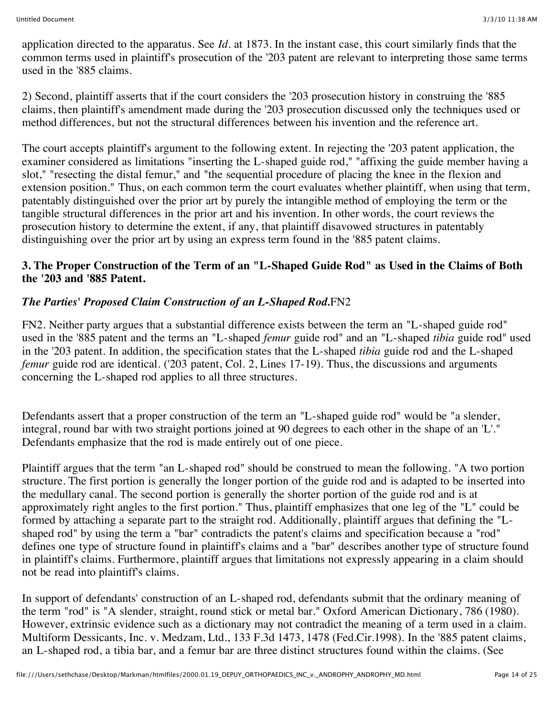application directed to the apparatus. See *Id.* at 1873. In the instant case, this court similarly finds that the common terms used in plaintiff's prosecution of the '203 patent are relevant to interpreting those same terms used in the '885 claims.

2) Second, plaintiff asserts that if the court considers the '203 prosecution history in construing the '885 claims, then plaintiff's amendment made during the '203 prosecution discussed only the techniques used or method differences, but not the structural differences between his invention and the reference art.

The court accepts plaintiff's argument to the following extent. In rejecting the '203 patent application, the examiner considered as limitations "inserting the L-shaped guide rod," "affixing the guide member having a slot," "resecting the distal femur," and "the sequential procedure of placing the knee in the flexion and extension position." Thus, on each common term the court evaluates whether plaintiff, when using that term, patentably distinguished over the prior art by purely the intangible method of employing the term or the tangible structural differences in the prior art and his invention. In other words, the court reviews the prosecution history to determine the extent, if any, that plaintiff disavowed structures in patentably distinguishing over the prior art by using an express term found in the '885 patent claims.

#### **3. The Proper Construction of the Term of an "L-Shaped Guide Rod" as Used in the Claims of Both the '203 and '885 Patent.**

## *The Parties' Proposed Claim Construction of an L-Shaped Rod.*FN2

FN2. Neither party argues that a substantial difference exists between the term an "L-shaped guide rod" used in the '885 patent and the terms an "L-shaped *femur* guide rod" and an "L-shaped *tibia* guide rod" used in the '203 patent. In addition, the specification states that the L-shaped *tibia* guide rod and the L-shaped *femur* guide rod are identical. ('203 patent, Col. 2, Lines 17-19). Thus, the discussions and arguments concerning the L-shaped rod applies to all three structures.

Defendants assert that a proper construction of the term an "L-shaped guide rod" would be "a slender, integral, round bar with two straight portions joined at 90 degrees to each other in the shape of an 'L'." Defendants emphasize that the rod is made entirely out of one piece.

Plaintiff argues that the term "an L-shaped rod" should be construed to mean the following. "A two portion structure. The first portion is generally the longer portion of the guide rod and is adapted to be inserted into the medullary canal. The second portion is generally the shorter portion of the guide rod and is at approximately right angles to the first portion." Thus, plaintiff emphasizes that one leg of the "L" could be formed by attaching a separate part to the straight rod. Additionally, plaintiff argues that defining the "Lshaped rod" by using the term a "bar" contradicts the patent's claims and specification because a "rod" defines one type of structure found in plaintiff's claims and a "bar" describes another type of structure found in plaintiff's claims. Furthermore, plaintiff argues that limitations not expressly appearing in a claim should not be read into plaintiff's claims.

In support of defendants' construction of an L-shaped rod, defendants submit that the ordinary meaning of the term "rod" is "A slender, straight, round stick or metal bar." Oxford American Dictionary, 786 (1980). However, extrinsic evidence such as a dictionary may not contradict the meaning of a term used in a claim. Multiform Dessicants, Inc. v. Medzam, Ltd., 133 F.3d 1473, 1478 (Fed.Cir.1998). In the '885 patent claims, an L-shaped rod, a tibia bar, and a femur bar are three distinct structures found within the claims. (See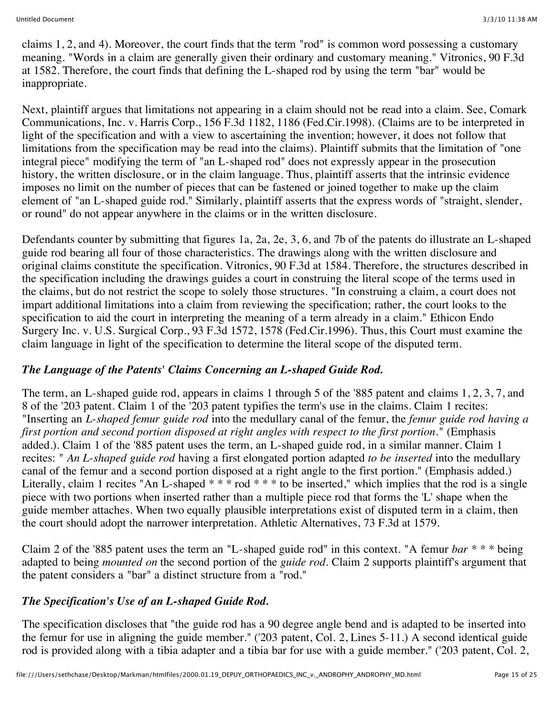claims 1, 2, and 4). Moreover, the court finds that the term "rod" is common word possessing a customary meaning. "Words in a claim are generally given their ordinary and customary meaning." Vitronics, 90 F.3d at 1582. Therefore, the court finds that defining the L-shaped rod by using the term "bar" would be inappropriate.

Next, plaintiff argues that limitations not appearing in a claim should not be read into a claim. See, Comark Communications, Inc. v. Harris Corp., 156 F.3d 1182, 1186 (Fed.Cir.1998). (Claims are to be interpreted in light of the specification and with a view to ascertaining the invention; however, it does not follow that limitations from the specification may be read into the claims). Plaintiff submits that the limitation of "one integral piece" modifying the term of "an L-shaped rod" does not expressly appear in the prosecution history, the written disclosure, or in the claim language. Thus, plaintiff asserts that the intrinsic evidence imposes no limit on the number of pieces that can be fastened or joined together to make up the claim element of "an L-shaped guide rod." Similarly, plaintiff asserts that the express words of "straight, slender, or round" do not appear anywhere in the claims or in the written disclosure.

Defendants counter by submitting that figures 1a, 2a, 2e, 3, 6, and 7b of the patents do illustrate an L-shaped guide rod bearing all four of those characteristics. The drawings along with the written disclosure and original claims constitute the specification. Vitronics, 90 F.3d at 1584. Therefore, the structures described in the specification including the drawings guides a court in construing the literal scope of the terms used in the claims, but do not restrict the scope to solely those structures. "In construing a claim, a court does not impart additional limitations into a claim from reviewing the specification; rather, the court looks to the specification to aid the court in interpreting the meaning of a term already in a claim." Ethicon Endo Surgery Inc. v. U.S. Surgical Corp., 93 F.3d 1572, 1578 (Fed.Cir.1996). Thus, this Court must examine the claim language in light of the specification to determine the literal scope of the disputed term.

#### *The Language of the Patents' Claims Concerning an L-shaped Guide Rod.*

The term, an L-shaped guide rod, appears in claims 1 through 5 of the '885 patent and claims 1, 2, 3, 7, and 8 of the '203 patent. Claim 1 of the '203 patent typifies the term's use in the claims. Claim 1 recites: "Inserting an *L-shaped femur guide rod* into the medullary canal of the femur, the *femur guide rod having a first portion and second portion disposed at right angles with respect to the first portion.*" (Emphasis added.). Claim 1 of the '885 patent uses the term, an L-shaped guide rod, in a similar manner. Claim 1 recites: " *An L-shaped guide rod* having a first elongated portion adapted *to be inserted* into the medullary canal of the femur and a second portion disposed at a right angle to the first portion." (Emphasis added.) Literally, claim 1 recites "An L-shaped  $***$  rod  $***$  to be inserted," which implies that the rod is a single piece with two portions when inserted rather than a multiple piece rod that forms the 'L' shape when the guide member attaches. When two equally plausible interpretations exist of disputed term in a claim, then the court should adopt the narrower interpretation. Athletic Alternatives, 73 F.3d at 1579.

Claim 2 of the '885 patent uses the term an "L-shaped guide rod" in this context. "A femur *bar* \* \* \* being adapted to being *mounted on* the second portion of the *guide rod.* Claim 2 supports plaintiff's argument that the patent considers a "bar" a distinct structure from a "rod."

#### *The Specification's Use of an L-shaped Guide Rod.*

The specification discloses that "the guide rod has a 90 degree angle bend and is adapted to be inserted into the femur for use in aligning the guide member." ('203 patent, Col. 2, Lines 5-11.) A second identical guide rod is provided along with a tibia adapter and a tibia bar for use with a guide member." ('203 patent, Col. 2,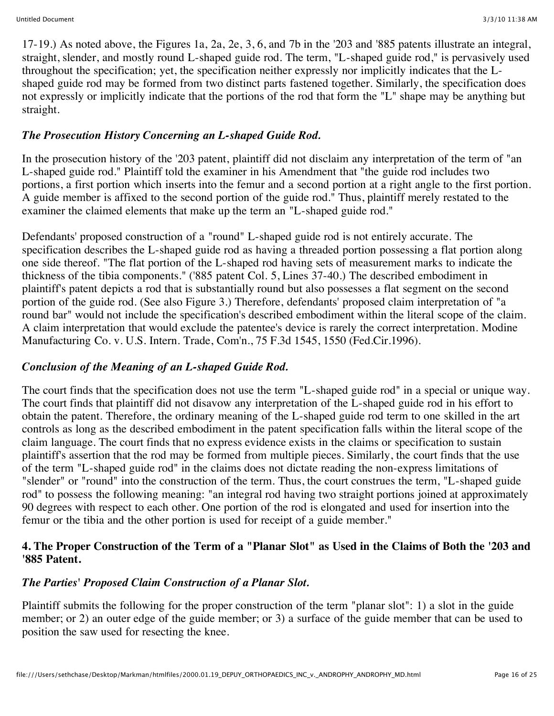17-19.) As noted above, the Figures 1a, 2a, 2e, 3, 6, and 7b in the '203 and '885 patents illustrate an integral, straight, slender, and mostly round L-shaped guide rod. The term, "L-shaped guide rod," is pervasively used throughout the specification; yet, the specification neither expressly nor implicitly indicates that the Lshaped guide rod may be formed from two distinct parts fastened together. Similarly, the specification does not expressly or implicitly indicate that the portions of the rod that form the "L" shape may be anything but straight.

### *The Prosecution History Concerning an L-shaped Guide Rod.*

In the prosecution history of the '203 patent, plaintiff did not disclaim any interpretation of the term of "an L-shaped guide rod." Plaintiff told the examiner in his Amendment that "the guide rod includes two portions, a first portion which inserts into the femur and a second portion at a right angle to the first portion. A guide member is affixed to the second portion of the guide rod." Thus, plaintiff merely restated to the examiner the claimed elements that make up the term an "L-shaped guide rod."

Defendants' proposed construction of a "round" L-shaped guide rod is not entirely accurate. The specification describes the L-shaped guide rod as having a threaded portion possessing a flat portion along one side thereof. "The flat portion of the L-shaped rod having sets of measurement marks to indicate the thickness of the tibia components." ('885 patent Col. 5, Lines 37-40.) The described embodiment in plaintiff's patent depicts a rod that is substantially round but also possesses a flat segment on the second portion of the guide rod. (See also Figure 3.) Therefore, defendants' proposed claim interpretation of "a round bar" would not include the specification's described embodiment within the literal scope of the claim. A claim interpretation that would exclude the patentee's device is rarely the correct interpretation. Modine Manufacturing Co. v. U.S. Intern. Trade, Com'n., 75 F.3d 1545, 1550 (Fed.Cir.1996).

#### *Conclusion of the Meaning of an L-shaped Guide Rod.*

The court finds that the specification does not use the term "L-shaped guide rod" in a special or unique way. The court finds that plaintiff did not disavow any interpretation of the L-shaped guide rod in his effort to obtain the patent. Therefore, the ordinary meaning of the L-shaped guide rod term to one skilled in the art controls as long as the described embodiment in the patent specification falls within the literal scope of the claim language. The court finds that no express evidence exists in the claims or specification to sustain plaintiff's assertion that the rod may be formed from multiple pieces. Similarly, the court finds that the use of the term "L-shaped guide rod" in the claims does not dictate reading the non-express limitations of "slender" or "round" into the construction of the term. Thus, the court construes the term, "L-shaped guide rod" to possess the following meaning: "an integral rod having two straight portions joined at approximately 90 degrees with respect to each other. One portion of the rod is elongated and used for insertion into the femur or the tibia and the other portion is used for receipt of a guide member."

#### **4. The Proper Construction of the Term of a "Planar Slot" as Used in the Claims of Both the '203 and '885 Patent.**

## *The Parties' Proposed Claim Construction of a Planar Slot.*

Plaintiff submits the following for the proper construction of the term "planar slot": 1) a slot in the guide member; or 2) an outer edge of the guide member; or 3) a surface of the guide member that can be used to position the saw used for resecting the knee.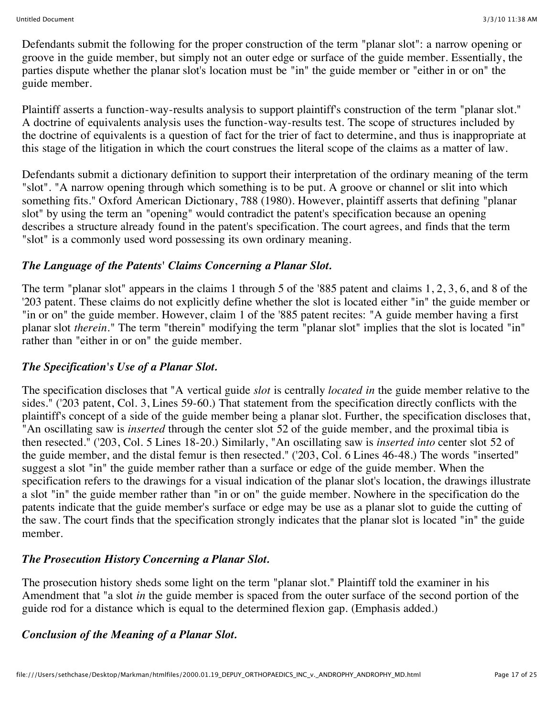Defendants submit the following for the proper construction of the term "planar slot": a narrow opening or groove in the guide member, but simply not an outer edge or surface of the guide member. Essentially, the parties dispute whether the planar slot's location must be "in" the guide member or "either in or on" the guide member.

Plaintiff asserts a function-way-results analysis to support plaintiff's construction of the term "planar slot." A doctrine of equivalents analysis uses the function-way-results test. The scope of structures included by the doctrine of equivalents is a question of fact for the trier of fact to determine, and thus is inappropriate at this stage of the litigation in which the court construes the literal scope of the claims as a matter of law.

Defendants submit a dictionary definition to support their interpretation of the ordinary meaning of the term "slot". "A narrow opening through which something is to be put. A groove or channel or slit into which something fits." Oxford American Dictionary, 788 (1980). However, plaintiff asserts that defining "planar slot" by using the term an "opening" would contradict the patent's specification because an opening describes a structure already found in the patent's specification. The court agrees, and finds that the term "slot" is a commonly used word possessing its own ordinary meaning.

#### *The Language of the Patents' Claims Concerning a Planar Slot.*

The term "planar slot" appears in the claims 1 through 5 of the '885 patent and claims 1, 2, 3, 6, and 8 of the '203 patent. These claims do not explicitly define whether the slot is located either "in" the guide member or "in or on" the guide member. However, claim 1 of the '885 patent recites: "A guide member having a first planar slot *therein.*" The term "therein" modifying the term "planar slot" implies that the slot is located "in" rather than "either in or on" the guide member.

#### *The Specification's Use of a Planar Slot.*

The specification discloses that "A vertical guide *slot* is centrally *located in* the guide member relative to the sides." ('203 patent, Col. 3, Lines 59-60.) That statement from the specification directly conflicts with the plaintiff's concept of a side of the guide member being a planar slot. Further, the specification discloses that, "An oscillating saw is *inserted* through the center slot 52 of the guide member, and the proximal tibia is then resected." ('203, Col. 5 Lines 18-20.) Similarly, "An oscillating saw is *inserted into* center slot 52 of the guide member, and the distal femur is then resected." ('203, Col. 6 Lines 46-48.) The words "inserted" suggest a slot "in" the guide member rather than a surface or edge of the guide member. When the specification refers to the drawings for a visual indication of the planar slot's location, the drawings illustrate a slot "in" the guide member rather than "in or on" the guide member. Nowhere in the specification do the patents indicate that the guide member's surface or edge may be use as a planar slot to guide the cutting of the saw. The court finds that the specification strongly indicates that the planar slot is located "in" the guide member.

## *The Prosecution History Concerning a Planar Slot.*

The prosecution history sheds some light on the term "planar slot." Plaintiff told the examiner in his Amendment that "a slot *in* the guide member is spaced from the outer surface of the second portion of the guide rod for a distance which is equal to the determined flexion gap. (Emphasis added.)

## *Conclusion of the Meaning of a Planar Slot.*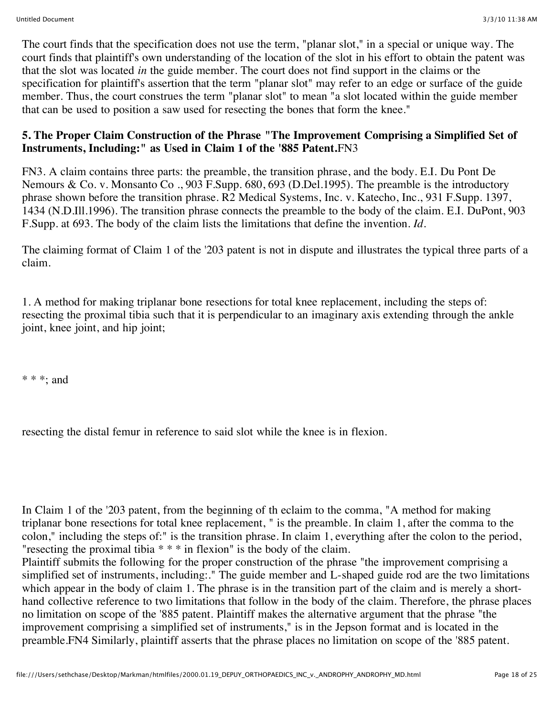The court finds that the specification does not use the term, "planar slot," in a special or unique way. The court finds that plaintiff's own understanding of the location of the slot in his effort to obtain the patent was that the slot was located *in* the guide member. The court does not find support in the claims or the specification for plaintiff's assertion that the term "planar slot" may refer to an edge or surface of the guide member. Thus, the court construes the term "planar slot" to mean "a slot located within the guide member that can be used to position a saw used for resecting the bones that form the knee."

#### **5. The Proper Claim Construction of the Phrase "The Improvement Comprising a Simplified Set of Instruments, Including:" as Used in Claim 1 of the '885 Patent.**FN3

FN3. A claim contains three parts: the preamble, the transition phrase, and the body. E.I. Du Pont De Nemours & Co. v. Monsanto Co ., 903 F.Supp. 680, 693 (D.Del.1995). The preamble is the introductory phrase shown before the transition phrase. R2 Medical Systems, Inc. v. Katecho, Inc., 931 F.Supp. 1397, 1434 (N.D.Ill.1996). The transition phrase connects the preamble to the body of the claim. E.I. DuPont, 903 F.Supp. at 693. The body of the claim lists the limitations that define the invention. *Id.*

The claiming format of Claim 1 of the '203 patent is not in dispute and illustrates the typical three parts of a claim.

1. A method for making triplanar bone resections for total knee replacement, including the steps of: resecting the proximal tibia such that it is perpendicular to an imaginary axis extending through the ankle joint, knee joint, and hip joint;

\* \* \*; and

resecting the distal femur in reference to said slot while the knee is in flexion.

In Claim 1 of the '203 patent, from the beginning of th eclaim to the comma, "A method for making triplanar bone resections for total knee replacement, " is the preamble. In claim 1, after the comma to the colon," including the steps of:" is the transition phrase. In claim 1, everything after the colon to the period, "resecting the proximal tibia \* \* \* in flexion" is the body of the claim.

Plaintiff submits the following for the proper construction of the phrase "the improvement comprising a simplified set of instruments, including:." The guide member and L-shaped guide rod are the two limitations which appear in the body of claim 1. The phrase is in the transition part of the claim and is merely a shorthand collective reference to two limitations that follow in the body of the claim. Therefore, the phrase places no limitation on scope of the '885 patent. Plaintiff makes the alternative argument that the phrase "the improvement comprising a simplified set of instruments," is in the Jepson format and is located in the preamble.FN4 Similarly, plaintiff asserts that the phrase places no limitation on scope of the '885 patent.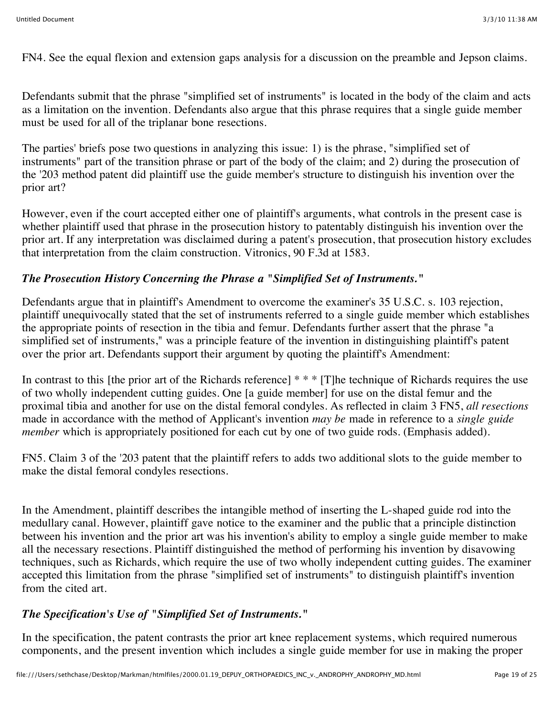FN4. See the equal flexion and extension gaps analysis for a discussion on the preamble and Jepson claims.

Defendants submit that the phrase "simplified set of instruments" is located in the body of the claim and acts as a limitation on the invention. Defendants also argue that this phrase requires that a single guide member must be used for all of the triplanar bone resections.

The parties' briefs pose two questions in analyzing this issue: 1) is the phrase, "simplified set of instruments" part of the transition phrase or part of the body of the claim; and 2) during the prosecution of the '203 method patent did plaintiff use the guide member's structure to distinguish his invention over the prior art?

However, even if the court accepted either one of plaintiff's arguments, what controls in the present case is whether plaintiff used that phrase in the prosecution history to patentably distinguish his invention over the prior art. If any interpretation was disclaimed during a patent's prosecution, that prosecution history excludes that interpretation from the claim construction. Vitronics, 90 F.3d at 1583.

## *The Prosecution History Concerning the Phrase a "Simplified Set of Instruments.***"**

Defendants argue that in plaintiff's Amendment to overcome the examiner's 35 U.S.C. s. 103 rejection, plaintiff unequivocally stated that the set of instruments referred to a single guide member which establishes the appropriate points of resection in the tibia and femur. Defendants further assert that the phrase "a simplified set of instruments," was a principle feature of the invention in distinguishing plaintiff's patent over the prior art. Defendants support their argument by quoting the plaintiff's Amendment:

In contrast to this [the prior art of the Richards reference] \* \* \* [T]he technique of Richards requires the use of two wholly independent cutting guides. One [a guide member] for use on the distal femur and the proximal tibia and another for use on the distal femoral condyles. As reflected in claim 3 FN5, *all resections* made in accordance with the method of Applicant's invention *may be* made in reference to a *single guide member* which is appropriately positioned for each cut by one of two guide rods. (Emphasis added).

FN5. Claim 3 of the '203 patent that the plaintiff refers to adds two additional slots to the guide member to make the distal femoral condyles resections.

In the Amendment, plaintiff describes the intangible method of inserting the L-shaped guide rod into the medullary canal. However, plaintiff gave notice to the examiner and the public that a principle distinction between his invention and the prior art was his invention's ability to employ a single guide member to make all the necessary resections. Plaintiff distinguished the method of performing his invention by disavowing techniques, such as Richards, which require the use of two wholly independent cutting guides. The examiner accepted this limitation from the phrase "simplified set of instruments" to distinguish plaintiff's invention from the cited art.

## *The Specification's Use of "Simplified Set of Instruments.***"**

In the specification, the patent contrasts the prior art knee replacement systems, which required numerous components, and the present invention which includes a single guide member for use in making the proper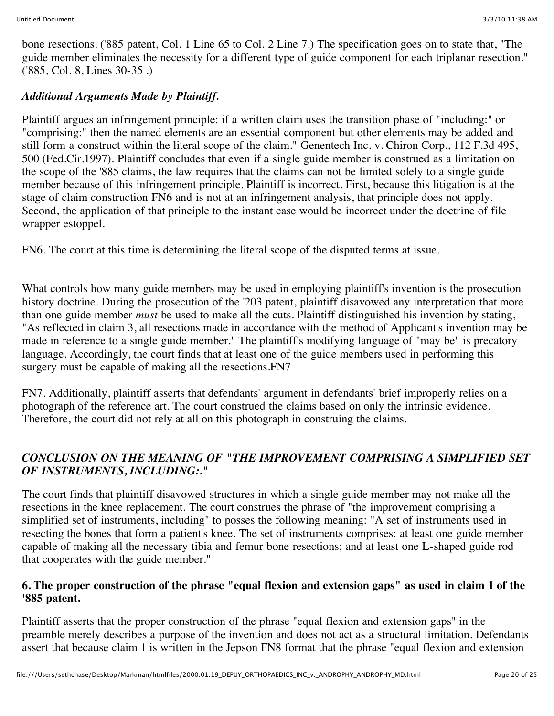bone resections. ('885 patent, Col. 1 Line 65 to Col. 2 Line 7.) The specification goes on to state that, "The guide member eliminates the necessity for a different type of guide component for each triplanar resection." ('885, Col. 8, Lines 30-35 .)

# *Additional Arguments Made by Plaintiff.*

Plaintiff argues an infringement principle: if a written claim uses the transition phase of "including:" or "comprising:" then the named elements are an essential component but other elements may be added and still form a construct within the literal scope of the claim." Genentech Inc. v. Chiron Corp., 112 F.3d 495, 500 (Fed.Cir.1997). Plaintiff concludes that even if a single guide member is construed as a limitation on the scope of the '885 claims, the law requires that the claims can not be limited solely to a single guide member because of this infringement principle. Plaintiff is incorrect. First, because this litigation is at the stage of claim construction FN6 and is not at an infringement analysis, that principle does not apply. Second, the application of that principle to the instant case would be incorrect under the doctrine of file wrapper estoppel.

FN6. The court at this time is determining the literal scope of the disputed terms at issue.

What controls how many guide members may be used in employing plaintiff's invention is the prosecution history doctrine. During the prosecution of the '203 patent, plaintiff disavowed any interpretation that more than one guide member *must* be used to make all the cuts. Plaintiff distinguished his invention by stating, "As reflected in claim 3, all resections made in accordance with the method of Applicant's invention may be made in reference to a single guide member." The plaintiff's modifying language of "may be" is precatory language. Accordingly, the court finds that at least one of the guide members used in performing this surgery must be capable of making all the resections.FN7

FN7. Additionally, plaintiff asserts that defendants' argument in defendants' brief improperly relies on a photograph of the reference art. The court construed the claims based on only the intrinsic evidence. Therefore, the court did not rely at all on this photograph in construing the claims.

## *CONCLUSION ON THE MEANING OF "THE IMPROVEMENT COMPRISING A SIMPLIFIED SET OF INSTRUMENTS, INCLUDING:."*

The court finds that plaintiff disavowed structures in which a single guide member may not make all the resections in the knee replacement. The court construes the phrase of "the improvement comprising a simplified set of instruments, including" to posses the following meaning: "A set of instruments used in resecting the bones that form a patient's knee. The set of instruments comprises: at least one guide member capable of making all the necessary tibia and femur bone resections; and at least one L-shaped guide rod that cooperates with the guide member."

### **6. The proper construction of the phrase "equal flexion and extension gaps" as used in claim 1 of the '885 patent.**

Plaintiff asserts that the proper construction of the phrase "equal flexion and extension gaps" in the preamble merely describes a purpose of the invention and does not act as a structural limitation. Defendants assert that because claim 1 is written in the Jepson FN8 format that the phrase "equal flexion and extension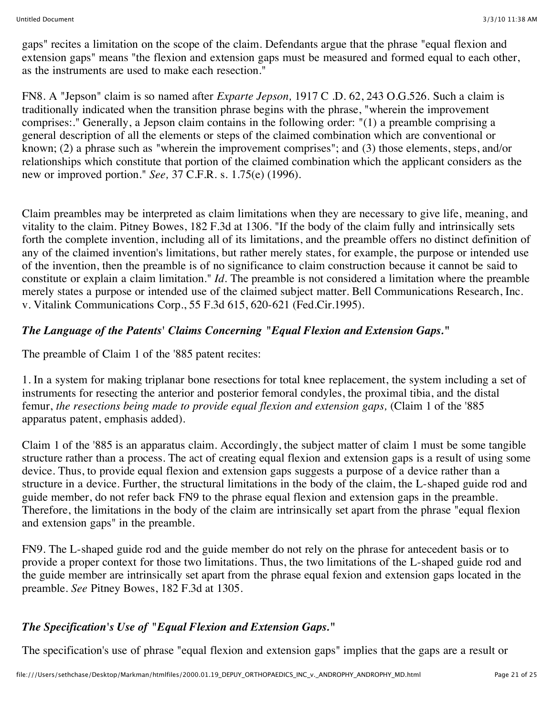gaps" recites a limitation on the scope of the claim. Defendants argue that the phrase "equal flexion and extension gaps" means "the flexion and extension gaps must be measured and formed equal to each other, as the instruments are used to make each resection."

FN8. A "Jepson" claim is so named after *Exparte Jepson,* 1917 C .D. 62, 243 O.G.526. Such a claim is traditionally indicated when the transition phrase begins with the phrase, "wherein the improvement comprises:." Generally, a Jepson claim contains in the following order: "(1) a preamble comprising a general description of all the elements or steps of the claimed combination which are conventional or known; (2) a phrase such as "wherein the improvement comprises"; and (3) those elements, steps, and/or relationships which constitute that portion of the claimed combination which the applicant considers as the new or improved portion." *See,* 37 C.F.R. s. 1.75(e) (1996).

Claim preambles may be interpreted as claim limitations when they are necessary to give life, meaning, and vitality to the claim. Pitney Bowes, 182 F.3d at 1306. "If the body of the claim fully and intrinsically sets forth the complete invention, including all of its limitations, and the preamble offers no distinct definition of any of the claimed invention's limitations, but rather merely states, for example, the purpose or intended use of the invention, then the preamble is of no significance to claim construction because it cannot be said to constitute or explain a claim limitation." *Id.* The preamble is not considered a limitation where the preamble merely states a purpose or intended use of the claimed subject matter. Bell Communications Research, Inc. v. Vitalink Communications Corp., 55 F.3d 615, 620-621 (Fed.Cir.1995).

## *The Language of the Patents' Claims Concerning "Equal Flexion and Extension Gaps.***"**

The preamble of Claim 1 of the '885 patent recites:

1. In a system for making triplanar bone resections for total knee replacement, the system including a set of instruments for resecting the anterior and posterior femoral condyles, the proximal tibia, and the distal femur, *the resections being made to provide equal flexion and extension gaps,* (Claim 1 of the '885 apparatus patent, emphasis added).

Claim 1 of the '885 is an apparatus claim. Accordingly, the subject matter of claim 1 must be some tangible structure rather than a process. The act of creating equal flexion and extension gaps is a result of using some device. Thus, to provide equal flexion and extension gaps suggests a purpose of a device rather than a structure in a device. Further, the structural limitations in the body of the claim, the L-shaped guide rod and guide member, do not refer back FN9 to the phrase equal flexion and extension gaps in the preamble. Therefore, the limitations in the body of the claim are intrinsically set apart from the phrase "equal flexion and extension gaps" in the preamble.

FN9. The L-shaped guide rod and the guide member do not rely on the phrase for antecedent basis or to provide a proper context for those two limitations. Thus, the two limitations of the L-shaped guide rod and the guide member are intrinsically set apart from the phrase equal fexion and extension gaps located in the preamble. *See* Pitney Bowes, 182 F.3d at 1305.

## *The Specification's Use of "Equal Flexion and Extension Gaps.***"**

The specification's use of phrase "equal flexion and extension gaps" implies that the gaps are a result or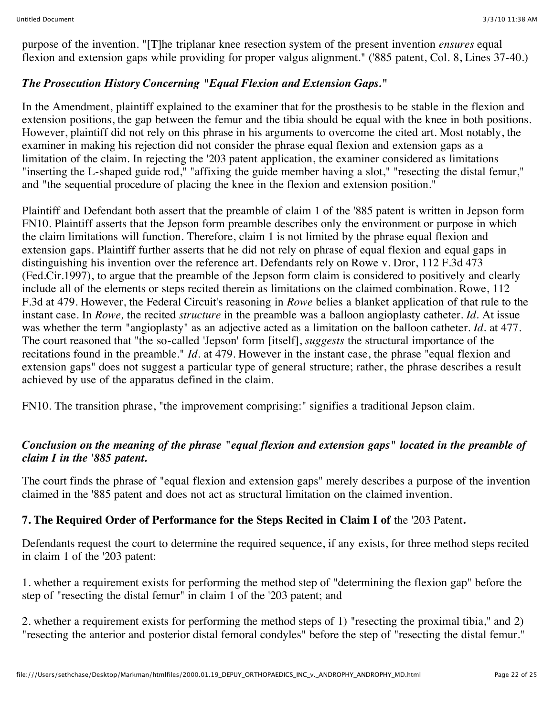purpose of the invention. "[T]he triplanar knee resection system of the present invention *ensures* equal flexion and extension gaps while providing for proper valgus alignment." ('885 patent, Col. 8, Lines 37-40.)

## *The Prosecution History Concerning "Equal Flexion and Extension Gaps.***"**

In the Amendment, plaintiff explained to the examiner that for the prosthesis to be stable in the flexion and extension positions, the gap between the femur and the tibia should be equal with the knee in both positions. However, plaintiff did not rely on this phrase in his arguments to overcome the cited art. Most notably, the examiner in making his rejection did not consider the phrase equal flexion and extension gaps as a limitation of the claim. In rejecting the '203 patent application, the examiner considered as limitations "inserting the L-shaped guide rod," "affixing the guide member having a slot," "resecting the distal femur," and "the sequential procedure of placing the knee in the flexion and extension position."

Plaintiff and Defendant both assert that the preamble of claim 1 of the '885 patent is written in Jepson form FN10. Plaintiff asserts that the Jepson form preamble describes only the environment or purpose in which the claim limitations will function. Therefore, claim 1 is not limited by the phrase equal flexion and extension gaps. Plaintiff further asserts that he did not rely on phrase of equal flexion and equal gaps in distinguishing his invention over the reference art. Defendants rely on Rowe v. Dror, 112 F.3d 473 (Fed.Cir.1997), to argue that the preamble of the Jepson form claim is considered to positively and clearly include all of the elements or steps recited therein as limitations on the claimed combination. Rowe, 112 F.3d at 479. However, the Federal Circuit's reasoning in *Rowe* belies a blanket application of that rule to the instant case. In *Rowe,* the recited *structure* in the preamble was a balloon angioplasty catheter. *Id.* At issue was whether the term "angioplasty" as an adjective acted as a limitation on the balloon catheter. *Id.* at 477. The court reasoned that "the so-called 'Jepson' form [itself], *suggests* the structural importance of the recitations found in the preamble." *Id.* at 479. However in the instant case, the phrase "equal flexion and extension gaps" does not suggest a particular type of general structure; rather, the phrase describes a result achieved by use of the apparatus defined in the claim.

FN10. The transition phrase, "the improvement comprising:" signifies a traditional Jepson claim.

## *Conclusion on the meaning of the phrase "equal flexion and extension gaps" located in the preamble of claim I in the '885 patent.*

The court finds the phrase of "equal flexion and extension gaps" merely describes a purpose of the invention claimed in the '885 patent and does not act as structural limitation on the claimed invention.

## **7. The Required Order of Performance for the Steps Recited in Claim I of** the '203 Patent**.**

Defendants request the court to determine the required sequence, if any exists, for three method steps recited in claim 1 of the '203 patent:

1. whether a requirement exists for performing the method step of "determining the flexion gap" before the step of "resecting the distal femur" in claim 1 of the '203 patent; and

2. whether a requirement exists for performing the method steps of 1) "resecting the proximal tibia," and 2) "resecting the anterior and posterior distal femoral condyles" before the step of "resecting the distal femur."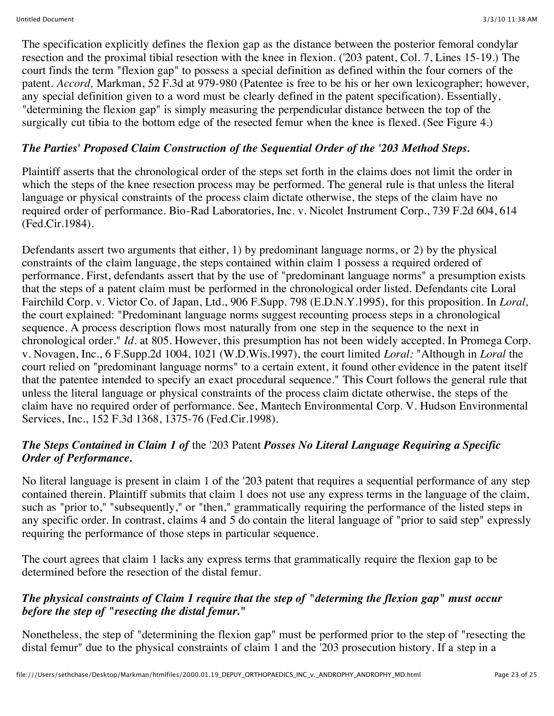The specification explicitly defines the flexion gap as the distance between the posterior femoral condylar resection and the proximal tibial resection with the knee in flexion. ('203 patent, Col. 7, Lines 15-19.) The court finds the term "flexion gap" to possess a special definition as defined within the four corners of the patent. *Accord,* Markman, 52 F.3d at 979-980 (Patentee is free to be his or her own lexicographer; however, any special definition given to a word must be clearly defined in the patent specification). Essentially, "determining the flexion gap" is simply measuring the perpendicular distance between the top of the surgically cut tibia to the bottom edge of the resected femur when the knee is flexed. (See Figure 4.)

# *The Parties' Proposed Claim Construction of the Sequential Order of the '203 Method Steps.*

Plaintiff asserts that the chronological order of the steps set forth in the claims does not limit the order in which the steps of the knee resection process may be performed. The general rule is that unless the literal language or physical constraints of the process claim dictate otherwise, the steps of the claim have no required order of performance. Bio-Rad Laboratories, Inc. v. Nicolet Instrument Corp., 739 F.2d 604, 614 (Fed.Cir.1984).

Defendants assert two arguments that either, 1) by predominant language norms, or 2) by the physical constraints of the claim language, the steps contained within claim 1 possess a required ordered of performance. First, defendants assert that by the use of "predominant language norms" a presumption exists that the steps of a patent claim must be performed in the chronological order listed. Defendants cite Loral Fairchild Corp. v. Victor Co. of Japan, Ltd., 906 F.Supp. 798 (E.D.N.Y.1995), for this proposition. In *Loral,* the court explained: "Predominant language norms suggest recounting process steps in a chronological sequence. A process description flows most naturally from one step in the sequence to the next in chronological order." *Id.* at 805. However, this presumption has not been widely accepted. In Promega Corp. v. Novagen, Inc., 6 F.Supp.2d 1004, 1021 (W.D.Wis.1997), the court limited *Loral:* "Although in *Loral* the court relied on "predominant language norms" to a certain extent, it found other evidence in the patent itself that the patentee intended to specify an exact procedural sequence." This Court follows the general rule that unless the literal language or physical constraints of the process claim dictate otherwise, the steps of the claim have no required order of performance. See, Mantech Environmental Corp. V. Hudson Environmental Services, Inc., 152 F.3d 1368, 1375-76 (Fed.Cir.1998).

## *The Steps Contained in Claim 1 of* the '203 Patent *Posses No Literal Language Requiring a Specific Order of Performance.*

No literal language is present in claim 1 of the '203 patent that requires a sequential performance of any step contained therein. Plaintiff submits that claim 1 does not use any express terms in the language of the claim, such as "prior to," "subsequently," or "then," grammatically requiring the performance of the listed steps in any specific order. In contrast, claims 4 and 5 do contain the literal language of "prior to said step" expressly requiring the performance of those steps in particular sequence.

The court agrees that claim 1 lacks any express terms that grammatically require the flexion gap to be determined before the resection of the distal femur.

## *The physical constraints of Claim 1 require that the step of "determing the flexion gap" must occur before the step of "resecting the distal femur.***"**

Nonetheless, the step of "determining the flexion gap" must be performed prior to the step of "resecting the distal femur" due to the physical constraints of claim 1 and the '203 prosecution history. If a step in a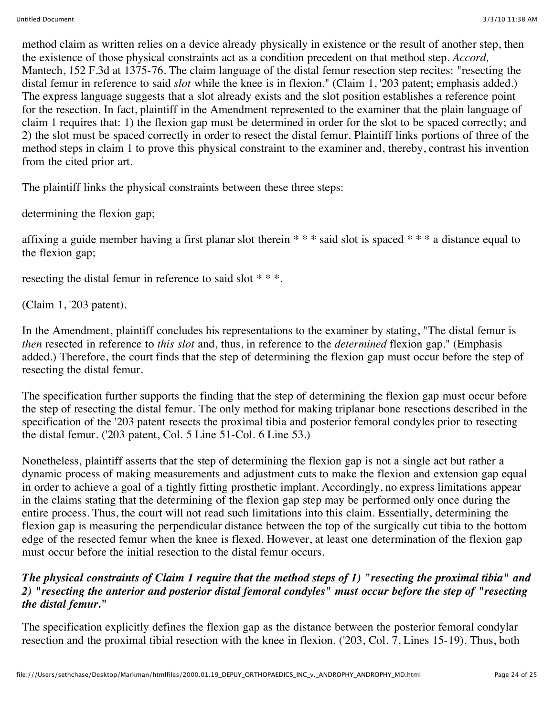method claim as written relies on a device already physically in existence or the result of another step, then the existence of those physical constraints act as a condition precedent on that method step. *Accord,* Mantech, 152 F.3d at 1375-76. The claim language of the distal femur resection step recites: "resecting the distal femur in reference to said *slot* while the knee is in flexion." (Claim 1, '203 patent; emphasis added.) The express language suggests that a slot already exists and the slot position establishes a reference point for the resection. In fact, plaintiff in the Amendment represented to the examiner that the plain language of claim 1 requires that: 1) the flexion gap must be determined in order for the slot to be spaced correctly; and 2) the slot must be spaced correctly in order to resect the distal femur. Plaintiff links portions of three of the method steps in claim 1 to prove this physical constraint to the examiner and, thereby, contrast his invention from the cited prior art.

The plaintiff links the physical constraints between these three steps:

determining the flexion gap;

affixing a guide member having a first planar slot therein \* \* \* said slot is spaced \* \* \* a distance equal to the flexion gap;

resecting the distal femur in reference to said slot \* \* \*.

(Claim 1, '203 patent).

In the Amendment, plaintiff concludes his representations to the examiner by stating, "The distal femur is *then* resected in reference to *this slot* and, thus, in reference to the *determined* flexion gap." (Emphasis added.) Therefore, the court finds that the step of determining the flexion gap must occur before the step of resecting the distal femur.

The specification further supports the finding that the step of determining the flexion gap must occur before the step of resecting the distal femur. The only method for making triplanar bone resections described in the specification of the '203 patent resects the proximal tibia and posterior femoral condyles prior to resecting the distal femur. ('203 patent, Col. 5 Line 51-Col. 6 Line 53.)

Nonetheless, plaintiff asserts that the step of determining the flexion gap is not a single act but rather a dynamic process of making measurements and adjustment cuts to make the flexion and extension gap equal in order to achieve a goal of a tightly fitting prosthetic implant. Accordingly, no express limitations appear in the claims stating that the determining of the flexion gap step may be performed only once during the entire process. Thus, the court will not read such limitations into this claim. Essentially, determining the flexion gap is measuring the perpendicular distance between the top of the surgically cut tibia to the bottom edge of the resected femur when the knee is flexed. However, at least one determination of the flexion gap must occur before the initial resection to the distal femur occurs.

### *The physical constraints of Claim 1 require that the method steps of 1) "resecting the proximal tibia" and 2) "resecting the anterior and posterior distal femoral condyles" must occur before the step of "resecting the distal femur.***"**

The specification explicitly defines the flexion gap as the distance between the posterior femoral condylar resection and the proximal tibial resection with the knee in flexion. ('203, Col. 7, Lines 15-19). Thus, both